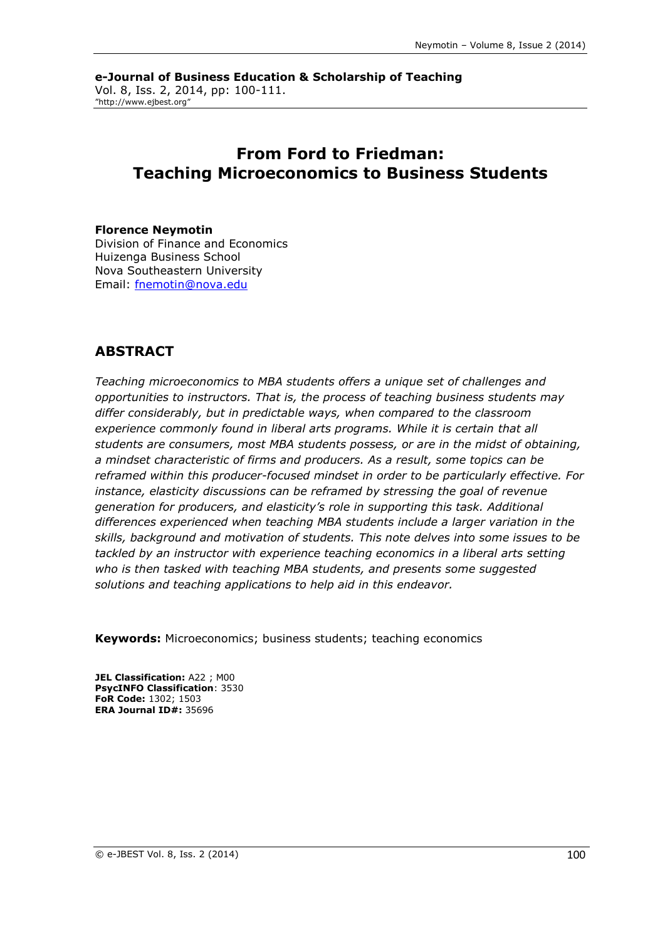**e-Journal of Business Education & Scholarship of Teaching** Vol. 8, Iss. 2, 2014, pp: 100-111. "http://www.ejbest.org"

# **From Ford to Friedman: Teaching Microeconomics to Business Students**

#### **Florence Neymotin**

Division of Finance and Economics Huizenga Business School Nova Southeastern University Email: [fnemotin@nova.edu](mailto:fnemotin@nova.edu)

## **ABSTRACT**

*Teaching microeconomics to MBA students offers a unique set of challenges and opportunities to instructors. That is, the process of teaching business students may differ considerably, but in predictable ways, when compared to the classroom experience commonly found in liberal arts programs. While it is certain that all students are consumers, most MBA students possess, or are in the midst of obtaining, a mindset characteristic of firms and producers. As a result, some topics can be reframed within this producer-focused mindset in order to be particularly effective. For instance, elasticity discussions can be reframed by stressing the goal of revenue generation for producers, and elasticity's role in supporting this task. Additional differences experienced when teaching MBA students include a larger variation in the skills, background and motivation of students. This note delves into some issues to be tackled by an instructor with experience teaching economics in a liberal arts setting who is then tasked with teaching MBA students, and presents some suggested solutions and teaching applications to help aid in this endeavor.*

**Keywords:** Microeconomics; business students; teaching economics

**JEL Classification:** A22 ; M00 **PsycINFO Classification**: 3530 **FoR Code:** 1302; 1503 **ERA Journal ID#:** 35696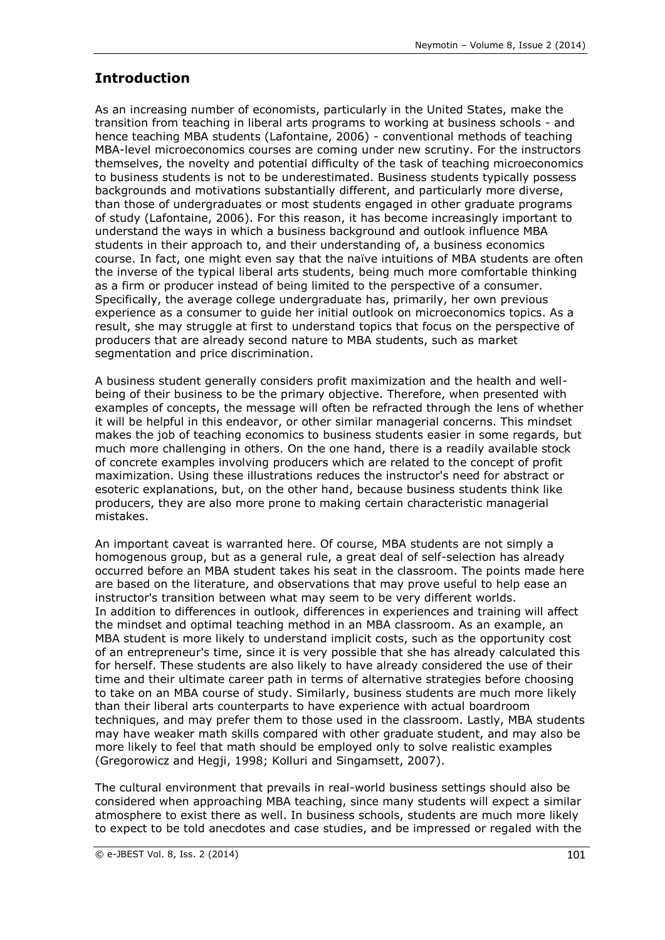# **Introduction**

As an increasing number of economists, particularly in the United States, make the transition from teaching in liberal arts programs to working at business schools - and hence teaching MBA students (Lafontaine, 2006) - conventional methods of teaching MBA-level microeconomics courses are coming under new scrutiny. For the instructors themselves, the novelty and potential difficulty of the task of teaching microeconomics to business students is not to be underestimated. Business students typically possess backgrounds and motivations substantially different, and particularly more diverse, than those of undergraduates or most students engaged in other graduate programs of study (Lafontaine, 2006). For this reason, it has become increasingly important to understand the ways in which a business background and outlook influence MBA students in their approach to, and their understanding of, a business economics course. In fact, one might even say that the naïve intuitions of MBA students are often the inverse of the typical liberal arts students, being much more comfortable thinking as a firm or producer instead of being limited to the perspective of a consumer. Specifically, the average college undergraduate has, primarily, her own previous experience as a consumer to guide her initial outlook on microeconomics topics. As a result, she may struggle at first to understand topics that focus on the perspective of producers that are already second nature to MBA students, such as market segmentation and price discrimination.

A business student generally considers profit maximization and the health and wellbeing of their business to be the primary objective. Therefore, when presented with examples of concepts, the message will often be refracted through the lens of whether it will be helpful in this endeavor, or other similar managerial concerns. This mindset makes the job of teaching economics to business students easier in some regards, but much more challenging in others. On the one hand, there is a readily available stock of concrete examples involving producers which are related to the concept of profit maximization. Using these illustrations reduces the instructor's need for abstract or esoteric explanations, but, on the other hand, because business students think like producers, they are also more prone to making certain characteristic managerial mistakes.

An important caveat is warranted here. Of course, MBA students are not simply a homogenous group, but as a general rule, a great deal of self-selection has already occurred before an MBA student takes his seat in the classroom. The points made here are based on the literature, and observations that may prove useful to help ease an instructor's transition between what may seem to be very different worlds. In addition to differences in outlook, differences in experiences and training will affect the mindset and optimal teaching method in an MBA classroom. As an example, an MBA student is more likely to understand implicit costs, such as the opportunity cost of an entrepreneur's time, since it is very possible that she has already calculated this for herself. These students are also likely to have already considered the use of their time and their ultimate career path in terms of alternative strategies before choosing to take on an MBA course of study. Similarly, business students are much more likely than their liberal arts counterparts to have experience with actual boardroom techniques, and may prefer them to those used in the classroom. Lastly, MBA students may have weaker math skills compared with other graduate student, and may also be more likely to feel that math should be employed only to solve realistic examples (Gregorowicz and Hegji, 1998; Kolluri and Singamsett, 2007).

The cultural environment that prevails in real-world business settings should also be considered when approaching MBA teaching, since many students will expect a similar atmosphere to exist there as well. In business schools, students are much more likely to expect to be told anecdotes and case studies, and be impressed or regaled with the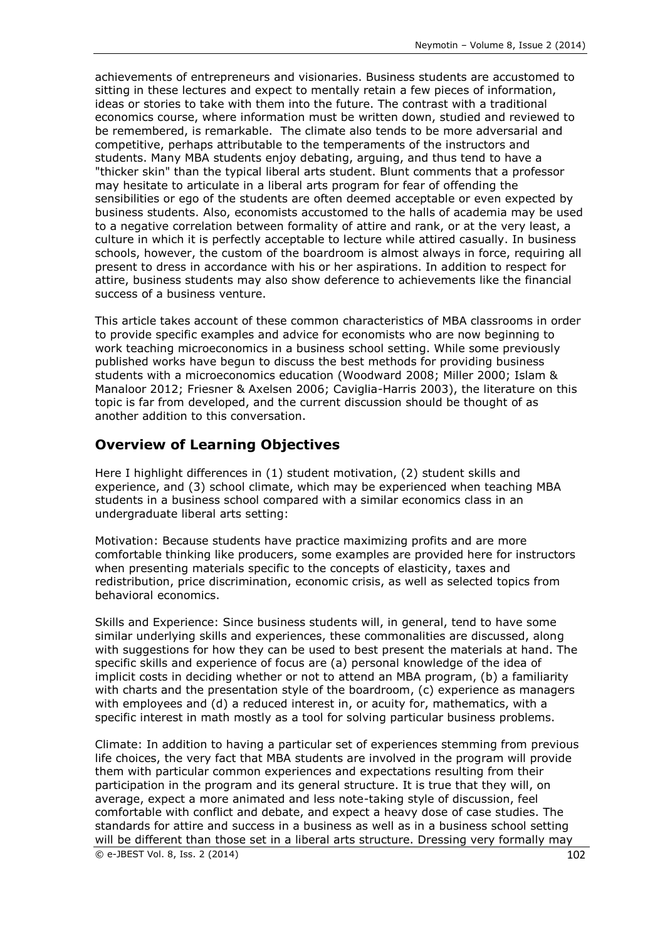achievements of entrepreneurs and visionaries. Business students are accustomed to sitting in these lectures and expect to mentally retain a few pieces of information, ideas or stories to take with them into the future. The contrast with a traditional economics course, where information must be written down, studied and reviewed to be remembered, is remarkable. The climate also tends to be more adversarial and competitive, perhaps attributable to the temperaments of the instructors and students. Many MBA students enjoy debating, arguing, and thus tend to have a "thicker skin" than the typical liberal arts student. Blunt comments that a professor may hesitate to articulate in a liberal arts program for fear of offending the sensibilities or ego of the students are often deemed acceptable or even expected by business students. Also, economists accustomed to the halls of academia may be used to a negative correlation between formality of attire and rank, or at the very least, a culture in which it is perfectly acceptable to lecture while attired casually. In business schools, however, the custom of the boardroom is almost always in force, requiring all present to dress in accordance with his or her aspirations. In addition to respect for attire, business students may also show deference to achievements like the financial success of a business venture.

This article takes account of these common characteristics of MBA classrooms in order to provide specific examples and advice for economists who are now beginning to work teaching microeconomics in a business school setting. While some previously published works have begun to discuss the best methods for providing business students with a microeconomics education (Woodward 2008; Miller 2000; Islam & Manaloor 2012; Friesner & Axelsen 2006; Caviglia-Harris 2003), the literature on this topic is far from developed, and the current discussion should be thought of as another addition to this conversation.

## **Overview of Learning Objectives**

Here I highlight differences in (1) student motivation, (2) student skills and experience, and (3) school climate, which may be experienced when teaching MBA students in a business school compared with a similar economics class in an undergraduate liberal arts setting:

Motivation: Because students have practice maximizing profits and are more comfortable thinking like producers, some examples are provided here for instructors when presenting materials specific to the concepts of elasticity, taxes and redistribution, price discrimination, economic crisis, as well as selected topics from behavioral economics.

Skills and Experience: Since business students will, in general, tend to have some similar underlying skills and experiences, these commonalities are discussed, along with suggestions for how they can be used to best present the materials at hand. The specific skills and experience of focus are (a) personal knowledge of the idea of implicit costs in deciding whether or not to attend an MBA program, (b) a familiarity with charts and the presentation style of the boardroom, (c) experience as managers with employees and (d) a reduced interest in, or acuity for, mathematics, with a specific interest in math mostly as a tool for solving particular business problems.

Climate: In addition to having a particular set of experiences stemming from previous life choices, the very fact that MBA students are involved in the program will provide them with particular common experiences and expectations resulting from their participation in the program and its general structure. It is true that they will, on average, expect a more animated and less note-taking style of discussion, feel comfortable with conflict and debate, and expect a heavy dose of case studies. The standards for attire and success in a business as well as in a business school setting will be different than those set in a liberal arts structure. Dressing very formally may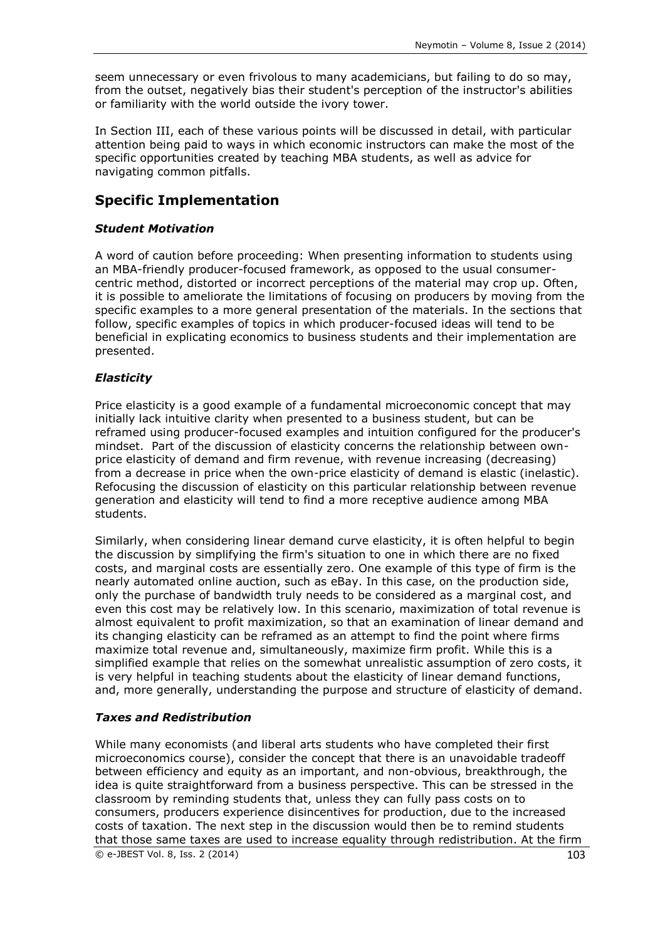seem unnecessary or even frivolous to many academicians, but failing to do so may, from the outset, negatively bias their student's perception of the instructor's abilities or familiarity with the world outside the ivory tower.

In Section III, each of these various points will be discussed in detail, with particular attention being paid to ways in which economic instructors can make the most of the specific opportunities created by teaching MBA students, as well as advice for navigating common pitfalls.

## **Specific Implementation**

#### *Student Motivation*

A word of caution before proceeding: When presenting information to students using an MBA-friendly producer-focused framework, as opposed to the usual consumercentric method, distorted or incorrect perceptions of the material may crop up. Often, it is possible to ameliorate the limitations of focusing on producers by moving from the specific examples to a more general presentation of the materials. In the sections that follow, specific examples of topics in which producer-focused ideas will tend to be beneficial in explicating economics to business students and their implementation are presented.

#### *Elasticity*

Price elasticity is a good example of a fundamental microeconomic concept that may initially lack intuitive clarity when presented to a business student, but can be reframed using producer-focused examples and intuition configured for the producer's mindset. Part of the discussion of elasticity concerns the relationship between ownprice elasticity of demand and firm revenue, with revenue increasing (decreasing) from a decrease in price when the own-price elasticity of demand is elastic (inelastic). Refocusing the discussion of elasticity on this particular relationship between revenue generation and elasticity will tend to find a more receptive audience among MBA students.

Similarly, when considering linear demand curve elasticity, it is often helpful to begin the discussion by simplifying the firm's situation to one in which there are no fixed costs, and marginal costs are essentially zero. One example of this type of firm is the nearly automated online auction, such as eBay. In this case, on the production side, only the purchase of bandwidth truly needs to be considered as a marginal cost, and even this cost may be relatively low. In this scenario, maximization of total revenue is almost equivalent to profit maximization, so that an examination of linear demand and its changing elasticity can be reframed as an attempt to find the point where firms maximize total revenue and, simultaneously, maximize firm profit. While this is a simplified example that relies on the somewhat unrealistic assumption of zero costs, it is very helpful in teaching students about the elasticity of linear demand functions, and, more generally, understanding the purpose and structure of elasticity of demand.

#### *Taxes and Redistribution*

 $\circledcirc$  e-JBEST Vol. 8, Iss. 2 (2014) 103 While many economists (and liberal arts students who have completed their first microeconomics course), consider the concept that there is an unavoidable tradeoff between efficiency and equity as an important, and non-obvious, breakthrough, the idea is quite straightforward from a business perspective. This can be stressed in the classroom by reminding students that, unless they can fully pass costs on to consumers, producers experience disincentives for production, due to the increased costs of taxation. The next step in the discussion would then be to remind students that those same taxes are used to increase equality through redistribution. At the firm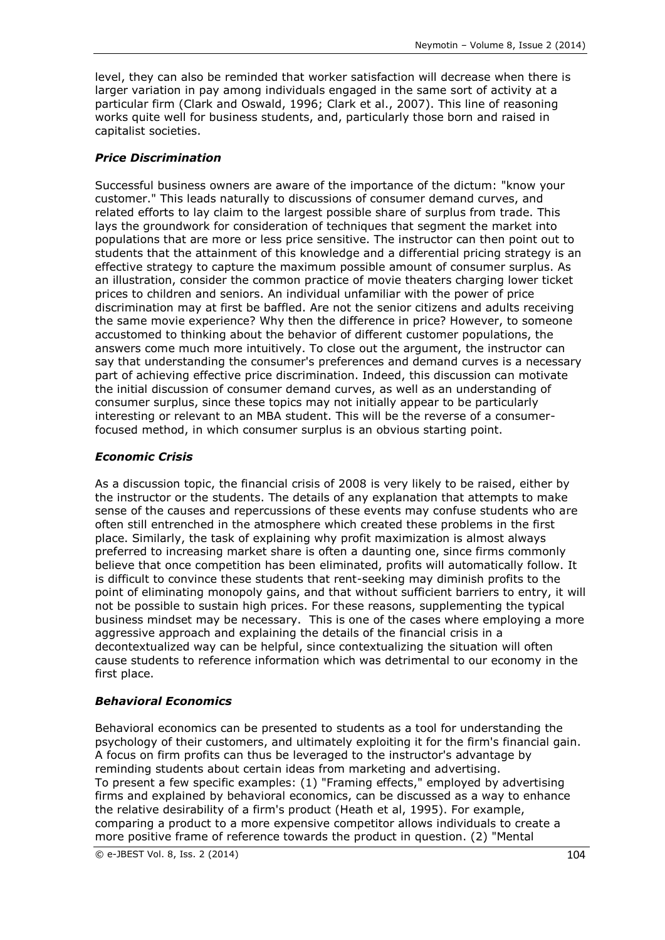level, they can also be reminded that worker satisfaction will decrease when there is larger variation in pay among individuals engaged in the same sort of activity at a particular firm (Clark and Oswald, 1996; Clark et al., 2007). This line of reasoning works quite well for business students, and, particularly those born and raised in capitalist societies.

## *Price Discrimination*

Successful business owners are aware of the importance of the dictum: "know your customer." This leads naturally to discussions of consumer demand curves, and related efforts to lay claim to the largest possible share of surplus from trade. This lays the groundwork for consideration of techniques that segment the market into populations that are more or less price sensitive. The instructor can then point out to students that the attainment of this knowledge and a differential pricing strategy is an effective strategy to capture the maximum possible amount of consumer surplus. As an illustration, consider the common practice of movie theaters charging lower ticket prices to children and seniors. An individual unfamiliar with the power of price discrimination may at first be baffled. Are not the senior citizens and adults receiving the same movie experience? Why then the difference in price? However, to someone accustomed to thinking about the behavior of different customer populations, the answers come much more intuitively. To close out the argument, the instructor can say that understanding the consumer's preferences and demand curves is a necessary part of achieving effective price discrimination. Indeed, this discussion can motivate the initial discussion of consumer demand curves, as well as an understanding of consumer surplus, since these topics may not initially appear to be particularly interesting or relevant to an MBA student. This will be the reverse of a consumerfocused method, in which consumer surplus is an obvious starting point.

## *Economic Crisis*

As a discussion topic, the financial crisis of 2008 is very likely to be raised, either by the instructor or the students. The details of any explanation that attempts to make sense of the causes and repercussions of these events may confuse students who are often still entrenched in the atmosphere which created these problems in the first place. Similarly, the task of explaining why profit maximization is almost always preferred to increasing market share is often a daunting one, since firms commonly believe that once competition has been eliminated, profits will automatically follow. It is difficult to convince these students that rent-seeking may diminish profits to the point of eliminating monopoly gains, and that without sufficient barriers to entry, it will not be possible to sustain high prices. For these reasons, supplementing the typical business mindset may be necessary. This is one of the cases where employing a more aggressive approach and explaining the details of the financial crisis in a decontextualized way can be helpful, since contextualizing the situation will often cause students to reference information which was detrimental to our economy in the first place.

### *Behavioral Economics*

Behavioral economics can be presented to students as a tool for understanding the psychology of their customers, and ultimately exploiting it for the firm's financial gain. A focus on firm profits can thus be leveraged to the instructor's advantage by reminding students about certain ideas from marketing and advertising. To present a few specific examples: (1) "Framing effects," employed by advertising firms and explained by behavioral economics, can be discussed as a way to enhance the relative desirability of a firm's product (Heath et al, 1995). For example, comparing a product to a more expensive competitor allows individuals to create a more positive frame of reference towards the product in question. (2) "Mental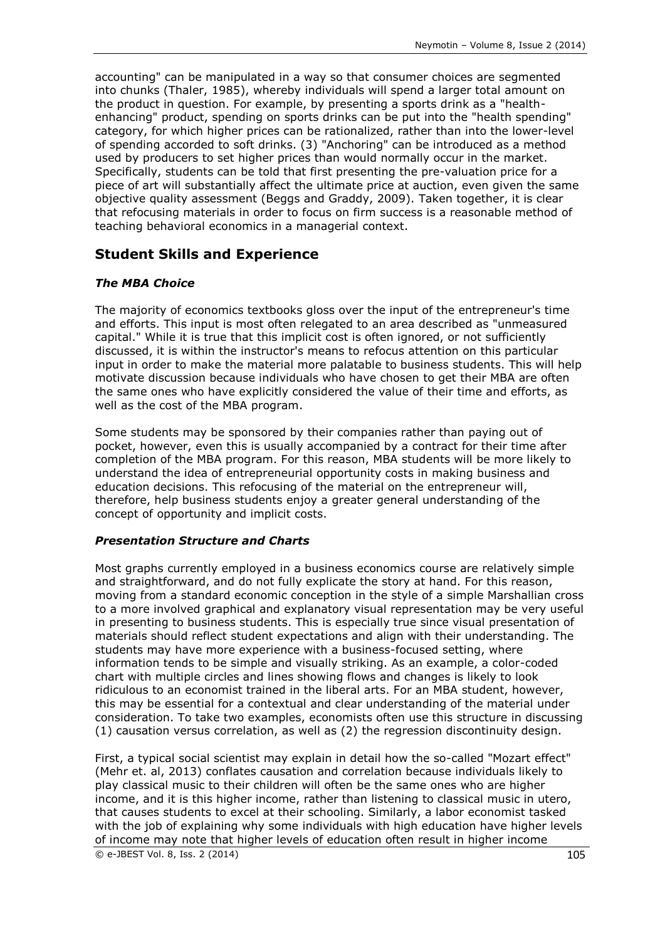accounting" can be manipulated in a way so that consumer choices are segmented into chunks (Thaler, 1985), whereby individuals will spend a larger total amount on the product in question. For example, by presenting a sports drink as a "healthenhancing" product, spending on sports drinks can be put into the "health spending" category, for which higher prices can be rationalized, rather than into the lower-level of spending accorded to soft drinks. (3) "Anchoring" can be introduced as a method used by producers to set higher prices than would normally occur in the market. Specifically, students can be told that first presenting the pre-valuation price for a piece of art will substantially affect the ultimate price at auction, even given the same objective quality assessment (Beggs and Graddy, 2009). Taken together, it is clear that refocusing materials in order to focus on firm success is a reasonable method of teaching behavioral economics in a managerial context.

## **Student Skills and Experience**

#### *The MBA Choice*

The majority of economics textbooks gloss over the input of the entrepreneur's time and efforts. This input is most often relegated to an area described as "unmeasured capital." While it is true that this implicit cost is often ignored, or not sufficiently discussed, it is within the instructor's means to refocus attention on this particular input in order to make the material more palatable to business students. This will help motivate discussion because individuals who have chosen to get their MBA are often the same ones who have explicitly considered the value of their time and efforts, as well as the cost of the MBA program.

Some students may be sponsored by their companies rather than paying out of pocket, however, even this is usually accompanied by a contract for their time after completion of the MBA program. For this reason, MBA students will be more likely to understand the idea of entrepreneurial opportunity costs in making business and education decisions. This refocusing of the material on the entrepreneur will, therefore, help business students enjoy a greater general understanding of the concept of opportunity and implicit costs.

#### *Presentation Structure and Charts*

Most graphs currently employed in a business economics course are relatively simple and straightforward, and do not fully explicate the story at hand. For this reason, moving from a standard economic conception in the style of a simple Marshallian cross to a more involved graphical and explanatory visual representation may be very useful in presenting to business students. This is especially true since visual presentation of materials should reflect student expectations and align with their understanding. The students may have more experience with a business-focused setting, where information tends to be simple and visually striking. As an example, a color-coded chart with multiple circles and lines showing flows and changes is likely to look ridiculous to an economist trained in the liberal arts. For an MBA student, however, this may be essential for a contextual and clear understanding of the material under consideration. To take two examples, economists often use this structure in discussing (1) causation versus correlation, as well as (2) the regression discontinuity design.

© e-JBEST Vol. 8, Iss. 2 (2014) 105 First, a typical social scientist may explain in detail how the so-called "Mozart effect" (Mehr et. al, 2013) conflates causation and correlation because individuals likely to play classical music to their children will often be the same ones who are higher income, and it is this higher income, rather than listening to classical music in utero, that causes students to excel at their schooling. Similarly, a labor economist tasked with the job of explaining why some individuals with high education have higher levels of income may note that higher levels of education often result in higher income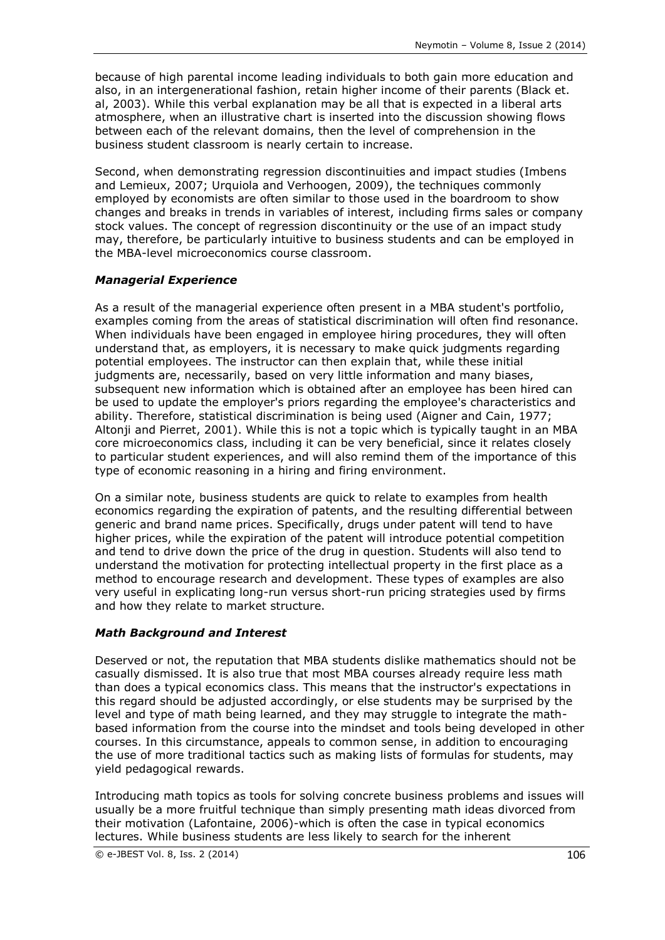because of high parental income leading individuals to both gain more education and also, in an intergenerational fashion, retain higher income of their parents (Black et. al, 2003). While this verbal explanation may be all that is expected in a liberal arts atmosphere, when an illustrative chart is inserted into the discussion showing flows between each of the relevant domains, then the level of comprehension in the business student classroom is nearly certain to increase.

Second, when demonstrating regression discontinuities and impact studies (Imbens and Lemieux, 2007; Urquiola and Verhoogen, 2009), the techniques commonly employed by economists are often similar to those used in the boardroom to show changes and breaks in trends in variables of interest, including firms sales or company stock values. The concept of regression discontinuity or the use of an impact study may, therefore, be particularly intuitive to business students and can be employed in the MBA-level microeconomics course classroom.

### *Managerial Experience*

As a result of the managerial experience often present in a MBA student's portfolio, examples coming from the areas of statistical discrimination will often find resonance. When individuals have been engaged in employee hiring procedures, they will often understand that, as employers, it is necessary to make quick judgments regarding potential employees. The instructor can then explain that, while these initial judgments are, necessarily, based on very little information and many biases, subsequent new information which is obtained after an employee has been hired can be used to update the employer's priors regarding the employee's characteristics and ability. Therefore, statistical discrimination is being used (Aigner and Cain, 1977; Altonji and Pierret, 2001). While this is not a topic which is typically taught in an MBA core microeconomics class, including it can be very beneficial, since it relates closely to particular student experiences, and will also remind them of the importance of this type of economic reasoning in a hiring and firing environment.

On a similar note, business students are quick to relate to examples from health economics regarding the expiration of patents, and the resulting differential between generic and brand name prices. Specifically, drugs under patent will tend to have higher prices, while the expiration of the patent will introduce potential competition and tend to drive down the price of the drug in question. Students will also tend to understand the motivation for protecting intellectual property in the first place as a method to encourage research and development. These types of examples are also very useful in explicating long-run versus short-run pricing strategies used by firms and how they relate to market structure.

#### *Math Background and Interest*

Deserved or not, the reputation that MBA students dislike mathematics should not be casually dismissed. It is also true that most MBA courses already require less math than does a typical economics class. This means that the instructor's expectations in this regard should be adjusted accordingly, or else students may be surprised by the level and type of math being learned, and they may struggle to integrate the mathbased information from the course into the mindset and tools being developed in other courses. In this circumstance, appeals to common sense, in addition to encouraging the use of more traditional tactics such as making lists of formulas for students, may yield pedagogical rewards.

Introducing math topics as tools for solving concrete business problems and issues will usually be a more fruitful technique than simply presenting math ideas divorced from their motivation (Lafontaine, 2006)-which is often the case in typical economics lectures. While business students are less likely to search for the inherent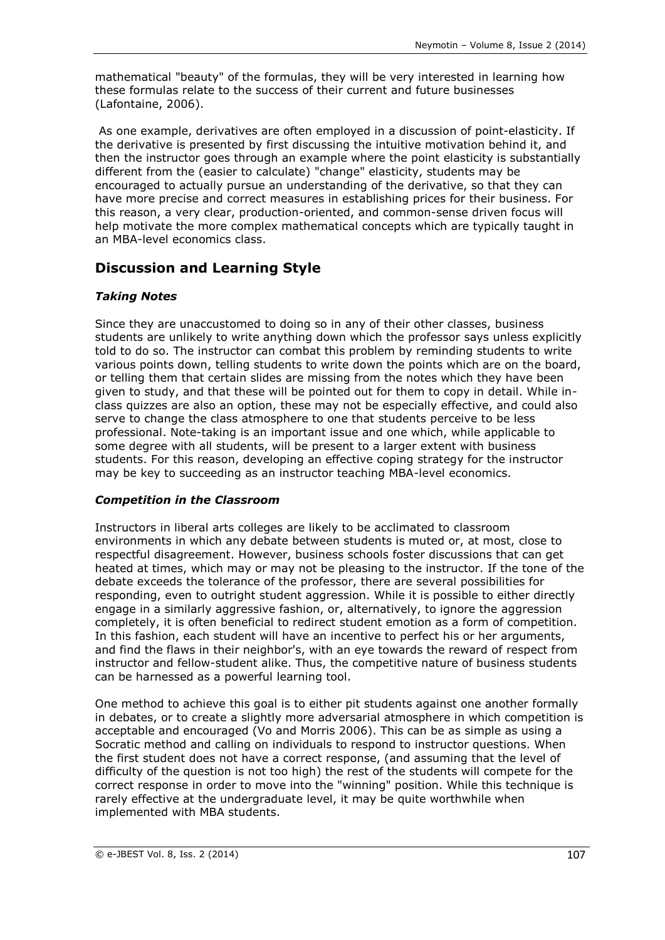mathematical "beauty" of the formulas, they will be very interested in learning how these formulas relate to the success of their current and future businesses (Lafontaine, 2006).

As one example, derivatives are often employed in a discussion of point-elasticity. If the derivative is presented by first discussing the intuitive motivation behind it, and then the instructor goes through an example where the point elasticity is substantially different from the (easier to calculate) "change" elasticity, students may be encouraged to actually pursue an understanding of the derivative, so that they can have more precise and correct measures in establishing prices for their business. For this reason, a very clear, production-oriented, and common-sense driven focus will help motivate the more complex mathematical concepts which are typically taught in an MBA-level economics class.

# **Discussion and Learning Style**

## *Taking Notes*

Since they are unaccustomed to doing so in any of their other classes, business students are unlikely to write anything down which the professor says unless explicitly told to do so. The instructor can combat this problem by reminding students to write various points down, telling students to write down the points which are on the board, or telling them that certain slides are missing from the notes which they have been given to study, and that these will be pointed out for them to copy in detail. While inclass quizzes are also an option, these may not be especially effective, and could also serve to change the class atmosphere to one that students perceive to be less professional. Note-taking is an important issue and one which, while applicable to some degree with all students, will be present to a larger extent with business students. For this reason, developing an effective coping strategy for the instructor may be key to succeeding as an instructor teaching MBA-level economics.

### *Competition in the Classroom*

Instructors in liberal arts colleges are likely to be acclimated to classroom environments in which any debate between students is muted or, at most, close to respectful disagreement. However, business schools foster discussions that can get heated at times, which may or may not be pleasing to the instructor. If the tone of the debate exceeds the tolerance of the professor, there are several possibilities for responding, even to outright student aggression. While it is possible to either directly engage in a similarly aggressive fashion, or, alternatively, to ignore the aggression completely, it is often beneficial to redirect student emotion as a form of competition. In this fashion, each student will have an incentive to perfect his or her arguments, and find the flaws in their neighbor's, with an eye towards the reward of respect from instructor and fellow-student alike. Thus, the competitive nature of business students can be harnessed as a powerful learning tool.

One method to achieve this goal is to either pit students against one another formally in debates, or to create a slightly more adversarial atmosphere in which competition is acceptable and encouraged (Vo and Morris 2006). This can be as simple as using a Socratic method and calling on individuals to respond to instructor questions. When the first student does not have a correct response, (and assuming that the level of difficulty of the question is not too high) the rest of the students will compete for the correct response in order to move into the "winning" position. While this technique is rarely effective at the undergraduate level, it may be quite worthwhile when implemented with MBA students.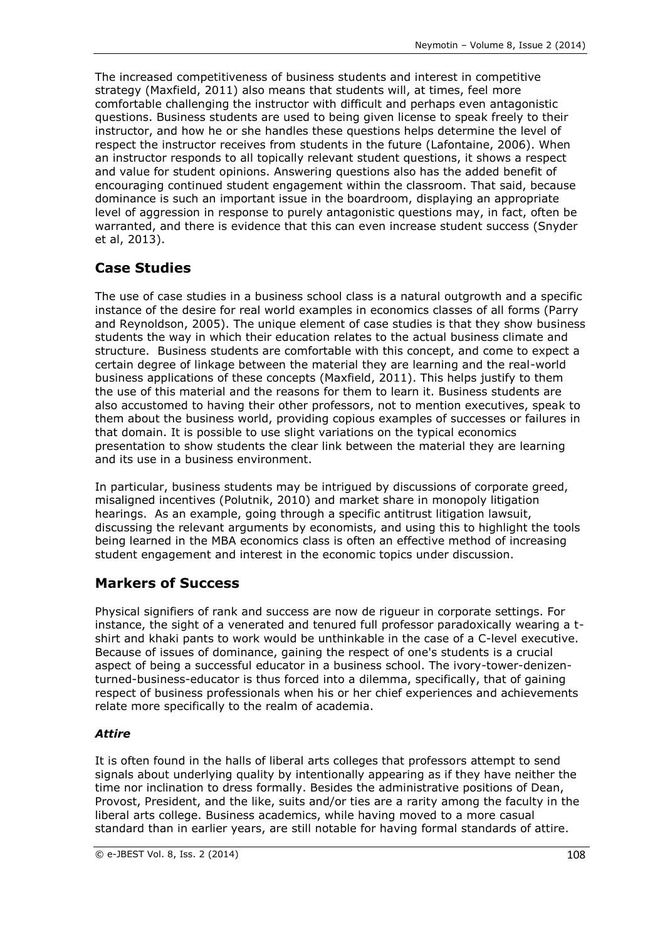The increased competitiveness of business students and interest in competitive strategy (Maxfield, 2011) also means that students will, at times, feel more comfortable challenging the instructor with difficult and perhaps even antagonistic questions. Business students are used to being given license to speak freely to their instructor, and how he or she handles these questions helps determine the level of respect the instructor receives from students in the future (Lafontaine, 2006). When an instructor responds to all topically relevant student questions, it shows a respect and value for student opinions. Answering questions also has the added benefit of encouraging continued student engagement within the classroom. That said, because dominance is such an important issue in the boardroom, displaying an appropriate level of aggression in response to purely antagonistic questions may, in fact, often be warranted, and there is evidence that this can even increase student success (Snyder et al, 2013).

# **Case Studies**

The use of case studies in a business school class is a natural outgrowth and a specific instance of the desire for real world examples in economics classes of all forms (Parry and Reynoldson, 2005). The unique element of case studies is that they show business students the way in which their education relates to the actual business climate and structure. Business students are comfortable with this concept, and come to expect a certain degree of linkage between the material they are learning and the real-world business applications of these concepts (Maxfield, 2011). This helps justify to them the use of this material and the reasons for them to learn it. Business students are also accustomed to having their other professors, not to mention executives, speak to them about the business world, providing copious examples of successes or failures in that domain. It is possible to use slight variations on the typical economics presentation to show students the clear link between the material they are learning and its use in a business environment.

In particular, business students may be intrigued by discussions of corporate greed, misaligned incentives (Polutnik, 2010) and market share in monopoly litigation hearings. As an example, going through a specific antitrust litigation lawsuit, discussing the relevant arguments by economists, and using this to highlight the tools being learned in the MBA economics class is often an effective method of increasing student engagement and interest in the economic topics under discussion.

# **Markers of Success**

Physical signifiers of rank and success are now de rigueur in corporate settings. For instance, the sight of a venerated and tenured full professor paradoxically wearing a tshirt and khaki pants to work would be unthinkable in the case of a C-level executive. Because of issues of dominance, gaining the respect of one's students is a crucial aspect of being a successful educator in a business school. The ivory-tower-denizenturned-business-educator is thus forced into a dilemma, specifically, that of gaining respect of business professionals when his or her chief experiences and achievements relate more specifically to the realm of academia.

### *Attire*

It is often found in the halls of liberal arts colleges that professors attempt to send signals about underlying quality by intentionally appearing as if they have neither the time nor inclination to dress formally. Besides the administrative positions of Dean, Provost, President, and the like, suits and/or ties are a rarity among the faculty in the liberal arts college. Business academics, while having moved to a more casual standard than in earlier years, are still notable for having formal standards of attire.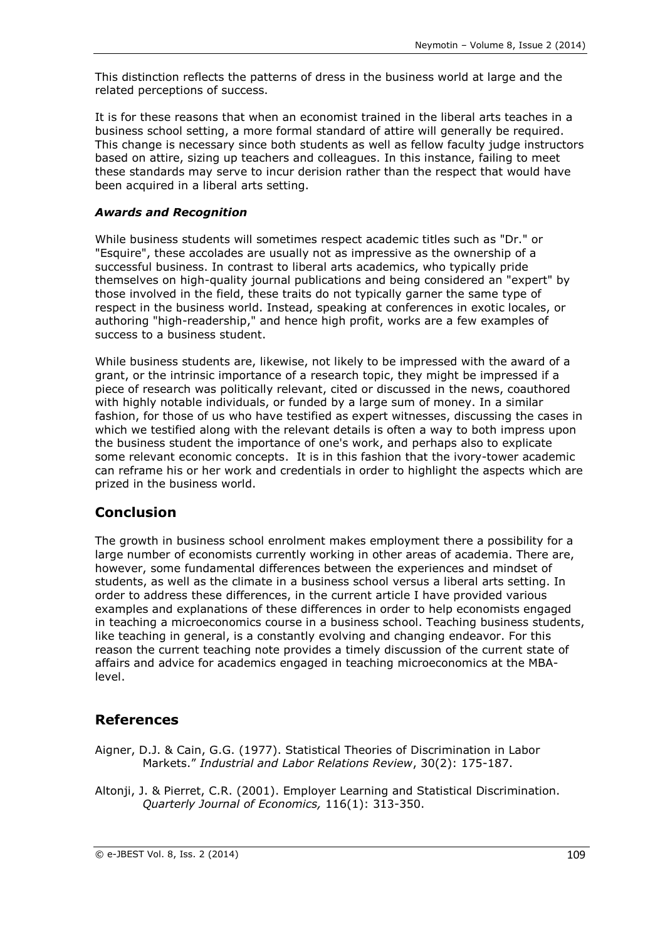This distinction reflects the patterns of dress in the business world at large and the related perceptions of success.

It is for these reasons that when an economist trained in the liberal arts teaches in a business school setting, a more formal standard of attire will generally be required. This change is necessary since both students as well as fellow faculty judge instructors based on attire, sizing up teachers and colleagues. In this instance, failing to meet these standards may serve to incur derision rather than the respect that would have been acquired in a liberal arts setting.

## *Awards and Recognition*

While business students will sometimes respect academic titles such as "Dr." or "Esquire", these accolades are usually not as impressive as the ownership of a successful business. In contrast to liberal arts academics, who typically pride themselves on high-quality journal publications and being considered an "expert" by those involved in the field, these traits do not typically garner the same type of respect in the business world. Instead, speaking at conferences in exotic locales, or authoring "high-readership," and hence high profit, works are a few examples of success to a business student.

While business students are, likewise, not likely to be impressed with the award of a grant, or the intrinsic importance of a research topic, they might be impressed if a piece of research was politically relevant, cited or discussed in the news, coauthored with highly notable individuals, or funded by a large sum of money. In a similar fashion, for those of us who have testified as expert witnesses, discussing the cases in which we testified along with the relevant details is often a way to both impress upon the business student the importance of one's work, and perhaps also to explicate some relevant economic concepts. It is in this fashion that the ivory-tower academic can reframe his or her work and credentials in order to highlight the aspects which are prized in the business world.

# **Conclusion**

The growth in business school enrolment makes employment there a possibility for a large number of economists currently working in other areas of academia. There are, however, some fundamental differences between the experiences and mindset of students, as well as the climate in a business school versus a liberal arts setting. In order to address these differences, in the current article I have provided various examples and explanations of these differences in order to help economists engaged in teaching a microeconomics course in a business school. Teaching business students, like teaching in general, is a constantly evolving and changing endeavor. For this reason the current teaching note provides a timely discussion of the current state of affairs and advice for academics engaged in teaching microeconomics at the MBAlevel.

# **References**

- Aigner, D.J. & Cain, G.G. (1977). Statistical Theories of Discrimination in Labor Markets." *Industrial and Labor Relations Review*, 30(2): 175-187.
- Altonji, J. & Pierret, C.R. (2001). Employer Learning and Statistical Discrimination. *Quarterly Journal of Economics,* 116(1): 313-350.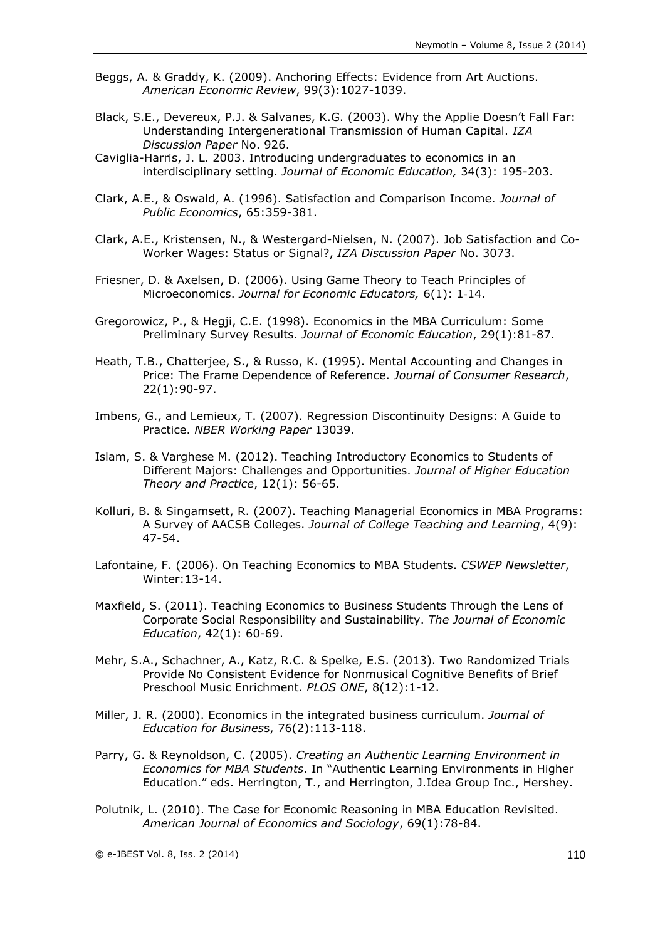- Beggs, A. & Graddy, K. (2009). Anchoring Effects: Evidence from Art Auctions. *American Economic Review*, 99(3):1027-1039.
- Black, S.E., Devereux, P.J. & Salvanes, K.G. (2003). Why the Applie Doesn't Fall Far: Understanding Intergenerational Transmission of Human Capital. *IZA Discussion Paper* No. 926.
- Caviglia-Harris, J. L. 2003. Introducing undergraduates to economics in an interdisciplinary setting. *Journal of Economic Education,* 34(3): 195-203.
- Clark, A.E., & Oswald, A. (1996). Satisfaction and Comparison Income. *Journal of Public Economics*, 65:359-381.
- Clark, A.E., Kristensen, N., & Westergard-Nielsen, N. (2007). Job Satisfaction and Co-Worker Wages: Status or Signal?, *IZA Discussion Paper* No. 3073.
- Friesner, D. & Axelsen, D. (2006). Using Game Theory to Teach Principles of Microeconomics. *Journal for Economic Educators,* 6(1): 1‐14.
- Gregorowicz, P., & Hegji, C.E. (1998). Economics in the MBA Curriculum: Some Preliminary Survey Results. *Journal of Economic Education*, 29(1):81-87.
- Heath, T.B., Chatterjee, S., & Russo, K. (1995). Mental Accounting and Changes in Price: The Frame Dependence of Reference. *Journal of Consumer Research*, 22(1):90-97.
- Imbens, G., and Lemieux, T. (2007). Regression Discontinuity Designs: A Guide to Practice. *NBER Working Paper* 13039.
- Islam, S. & Varghese M. (2012). Teaching Introductory Economics to Students of Different Majors: Challenges and Opportunities. *Journal of Higher Education Theory and Practice*, 12(1): 56-65.
- Kolluri, B. & Singamsett, R. (2007). Teaching Managerial Economics in MBA Programs: A Survey of AACSB Colleges. *Journal of College Teaching and Learning*, 4(9): 47-54.
- Lafontaine, F. (2006). On Teaching Economics to MBA Students. *CSWEP Newsletter*, Winter:13-14.
- Maxfield, S. (2011). Teaching Economics to Business Students Through the Lens of Corporate Social Responsibility and Sustainability. *The Journal of Economic Education*, 42(1): 60-69.
- Mehr, S.A., Schachner, A., Katz, R.C. & Spelke, E.S. (2013). Two Randomized Trials Provide No Consistent Evidence for Nonmusical Cognitive Benefits of Brief Preschool Music Enrichment. *PLOS ONE*, 8(12):1-12.
- Miller, J. R. (2000). Economics in the integrated business curriculum. *Journal of Education for Busines*s, 76(2):113-118.
- Parry, G. & Reynoldson, C. (2005). *Creating an Authentic Learning Environment in Economics for MBA Students*. In "Authentic Learning Environments in Higher Education." eds. Herrington, T., and Herrington, J.Idea Group Inc., Hershey.
- Polutnik, L. (2010). The Case for Economic Reasoning in MBA Education Revisited. *American Journal of Economics and Sociology*, 69(1):78-84.

© e-JBEST Vol. 8, Iss. 2 (2014) 110